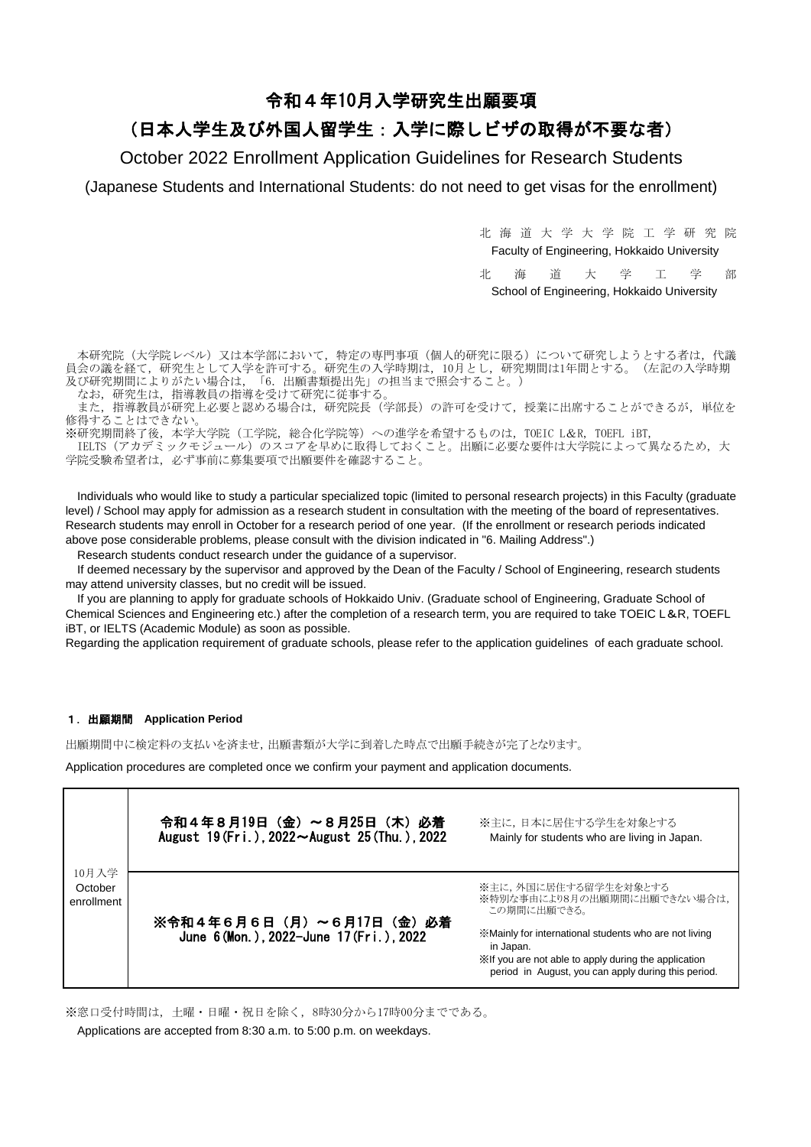## 令和4年10月入学研究生出願要項

# (日本人学生及び外国人留学生:入学に際しビザの取得が不要な者)

October 2022 Enrollment Application Guidelines for Research Students

(Japanese Students and International Students: do not need to get visas for the enrollment)

北 海 道 大 学 大 学 院 工 学 研 究 院 Faculty of Engineering, Hokkaido University

北 海 道 大 学 工 学 部 School of Engineering, Hokkaido University

 本研究院(大学院レベル)又は本学部において,特定の専門事項(個人的研究に限る)について研究しようとする者は,代議 員会の議を経て,研究生として入学を許可する。研究生の入学時期は,10月とし,研究期間は1年間とする。(左記の入学時期 及び研究期間によりがたい場合は,「6.出願書類提出先」の担当まで照会すること。)

なお,研究生は,指導教員の指導を受けて研究に従事する。

 また,指導教員が研究上必要と認める場合は,研究院長(学部長)の許可を受けて,授業に出席することができるが,単位を 修得することはできない。

※研究期間終了後,本学大学院(工学院,総合化学院等)への進学を希望するものは,TOEIC L&R, TOEFL iBT,

IELTS (アカデミックモジュール)のスコアを早めに取得しておくこと。出願に必要な要件は大学院によって異なるため,大 学院受験希望者は,必ず事前に募集要項で出願要件を確認すること。

Individuals who would like to study a particular specialized topic (limited to personal research projects) in this Faculty (graduate level) / School may apply for admission as a research student in consultation with the meeting of the board of representatives. Research students may enroll in October for a research period of one year. (If the enrollment or research periods indicated above pose considerable problems, please consult with the division indicated in "6. Mailing Address".)

Research students conduct research under the guidance of a supervisor.

If deemed necessary by the supervisor and approved by the Dean of the Faculty / School of Engineering, research students may attend university classes, but no credit will be issued.

If you are planning to apply for graduate schools of Hokkaido Univ. (Graduate school of Engineering, Graduate School of Chemical Sciences and Engineering etc.) after the completion of a research term, you are required to take TOEIC L&R, TOEFL iBT, or IELTS (Academic Module) as soon as possible.

Regarding the application requirement of graduate schools, please refer to the application guidelines of each graduate school.

#### 1.出願期間 **Application Period**

出願期間中に検定料の支払いを済ませ,出願書類が大学に到着した時点で出願手続きが完了となります。

Application procedures are completed once we confirm your payment and application documents.

| 10月入学<br>October<br>enrollment | 令和4年8月19日(金)~8月25日(木)必着<br>August 19 (Fri.), 2022~August 25 (Thu.), 2022 | ※主に、日本に居住する学生を対象とする<br>Mainly for students who are living in Japan.                                                                                                                                                                                       |
|--------------------------------|--------------------------------------------------------------------------|-----------------------------------------------------------------------------------------------------------------------------------------------------------------------------------------------------------------------------------------------------------|
|                                | ※令和4年6月6日 (月) ~6月17日 (金) 必着<br>June 6 (Mon.), 2022-June 17 (Fri.), 2022  | ※主に、外国に居住する留学生を対象とする<br>※特別な事由により8月の出願期間に出願できない場合は、<br>この期間に出願できる。<br>. Mainly for international students who are not living<br>in Japan.<br>X If you are not able to apply during the application<br>period in August, you can apply during this period. |

※窓口受付時間は,土曜・日曜・祝日を除く,8時30分から17時00分までである。 Applications are accepted from 8:30 a.m. to 5:00 p.m. on weekdays.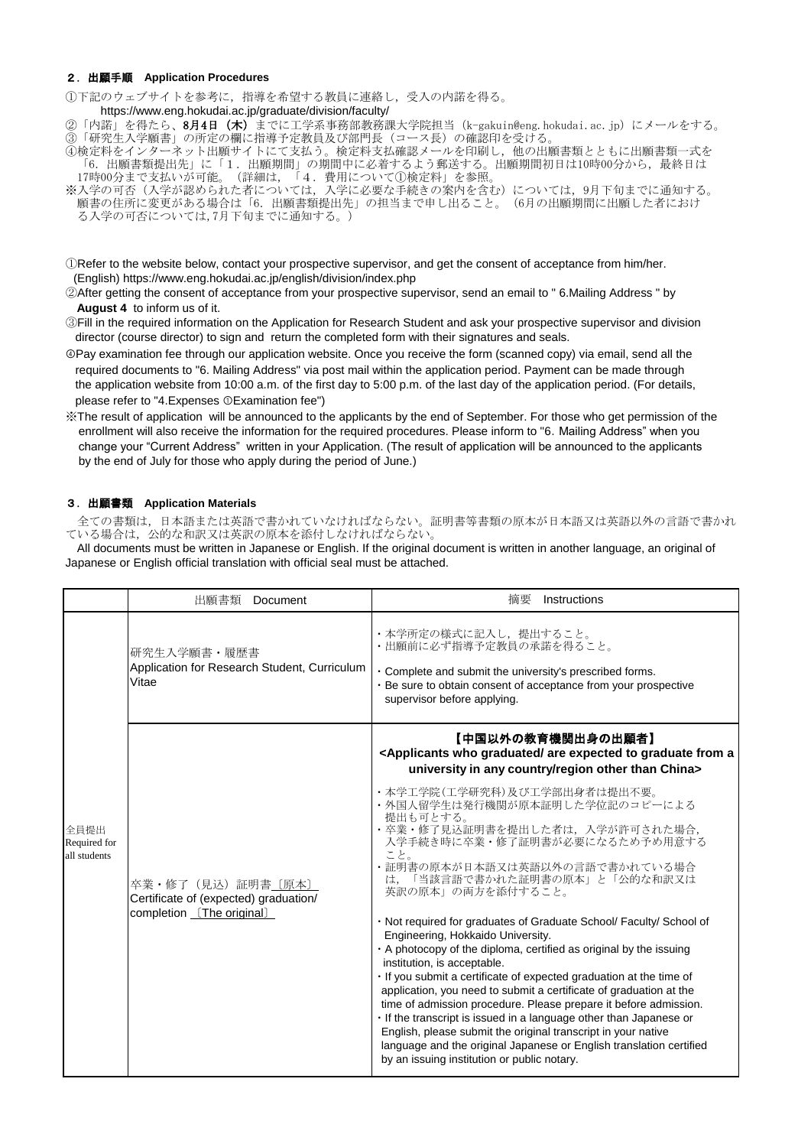#### 2.出願手順 **Application Procedures**

①下記のウェブサイトを参考に,指導を希望する教員に連絡し,受入の内諾を得る。

https://www.eng.hokudai.ac.jp/graduate/division/faculty/

②「内諾」を得たら、8**月4日(木)**までに工学系事務部教務課大学院担当(k-gakuin@eng.hokudai.ac.jp)にメールをする。 ③「研究生入学願書」の所定の欄に指導予定教員及び部門長(コース長)の確認印を受ける。

④検定料をインターネット出願サイトにて支払う。検定料支払確認メールを印刷し,他の出願書類とともに出願書類一式を 「6.出願書類提出先」に「1.出願期間」の期間中に必着するよう郵送する。出願期間初日は10時00分から,最終日は 17時00分まで支払いが可能。(詳細は,「4.費用について①検定料」を参照。

※入学の可否(入学が認められた者については,入学に必要な手続きの案内を含む)については,9月下旬までに通知する。 願書の住所に変更がある場合は「6.出願書類提出先」の担当まで申し出ること。(6月の出願期間に出願した者におけ る入学の可否については,7月下旬までに通知する。)

①Refer to the website below, contact your prospective supervisor, and get the consent of acceptance from him/her. (English) https://www.eng.hokudai.ac.jp/english/division/index.php

②After getting the consent of acceptance from your prospective supervisor, send an email to " 6.Mailing Address " by **August 4** to inform us of it.

③Fill in the required information on the Application for Research Student and ask your prospective supervisor and division director (course director) to sign and return the completed form with their signatures and seals.

- ④Pay examination fee through our application website. Once you receive the form (scanned copy) via email, send all the required documents to "6. Mailing Address" via post mail within the application period. Payment can be made through the application website from 10:00 a.m. of the first day to 5:00 p.m. of the last day of the application period. (For details, please refer to "4.Expenses ①Examination fee")
- ※The result of application will be announced to the applicants by the end of September. For those who get permission of the enrollment will also receive the information for the required procedures. Please inform to "6. Mailing Address" when you change your "Current Address" written in your Application. (The result of application will be announced to the applicants by the end of July for those who apply during the period of June.)

## 3.出願書類 **Application Materials**

 全ての書類は,日本語または英語で書かれていなければならない。証明書等書類の原本が日本語又は英語以外の言語で書かれ ている場合は,公的な和訳又は英訳の原本を添付しなければならない。

All documents must be written in Japanese or English. If the original document is written in another language, an original of Japanese or English official translation with official seal must be attached.

|                                      | 出願書類<br>Document                                                                       | 摘要<br>Instructions                                                                                                                                                                                                                                                                                                                                                                                                                                                                                                                                                                                                                                                                          |
|--------------------------------------|----------------------------------------------------------------------------------------|---------------------------------------------------------------------------------------------------------------------------------------------------------------------------------------------------------------------------------------------------------------------------------------------------------------------------------------------------------------------------------------------------------------------------------------------------------------------------------------------------------------------------------------------------------------------------------------------------------------------------------------------------------------------------------------------|
| 全員提出<br>Required for<br>all students | 研究生入学願書・履歴書<br>Application for Research Student, Curriculum<br>Vitae                   | ・本学所定の様式に記入し,提出すること。<br>・出願前に必ず指導予定教員の承諾を得ること。<br>. Complete and submit the university's prescribed forms.<br>· Be sure to obtain consent of acceptance from your prospective<br>supervisor before applying.                                                                                                                                                                                                                                                                                                                                                                                                                                                                                |
|                                      | 卒業・修了(見込)証明書〔原本〕<br>Certificate of (expected) graduation/<br>completion [The original] | 【中国以外の教育機関出身の出願者】<br><applicants a<br="" are="" expected="" from="" graduate="" graduated="" to="" who="">university in any country/region other than China&gt;</applicants>                                                                                                                                                                                                                                                                                                                                                                                                                                                                                                                |
|                                      |                                                                                        | ・本学工学院(工学研究科)及び工学部出身者は提出不要。<br>・外国人留学生は発行機関が原本証明した学位記のコピーによる<br>提出も可とする。<br>・卒業・修了見込証明書を提出した者は、入学が許可された場合,<br>入学手続き時に卒業・修了証明書が必要になるため予め用意する<br>こと。<br>・証明書の原本が日本語又は英語以外の言語で書かれている場合<br>「当該言語で書かれた証明書の原本」と「公的な和訳又は<br>は.<br>英訳の原本」の両方を添付すること。                                                                                                                                                                                                                                                                                                                                                                                                                                                |
|                                      |                                                                                        | . Not required for graduates of Graduate School/ Faculty/ School of<br>Engineering, Hokkaido University.<br>. A photocopy of the diploma, certified as original by the issuing<br>institution, is acceptable.<br>. If you submit a certificate of expected graduation at the time of<br>application, you need to submit a certificate of graduation at the<br>time of admission procedure. Please prepare it before admission.<br>. If the transcript is issued in a language other than Japanese or<br>English, please submit the original transcript in your native<br>language and the original Japanese or English translation certified<br>by an issuing institution or public notary. |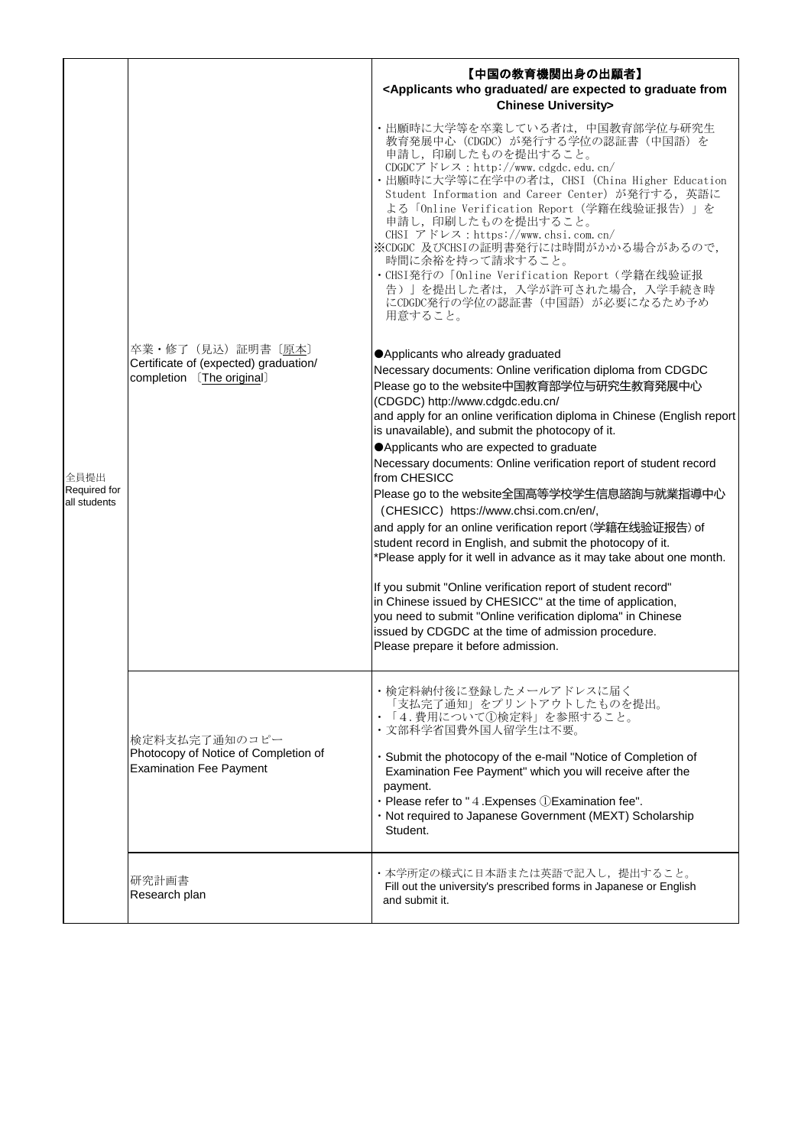|                                      |                                                                                         | 【中国の教育機関出身の出願者】<br><applicants are="" expected="" from<br="" graduate="" graduated="" to="" who=""><b>Chinese University&gt;</b></applicants>                                                                                                                                                                                                                                                                                                                                                                                                                                         |
|--------------------------------------|-----------------------------------------------------------------------------------------|---------------------------------------------------------------------------------------------------------------------------------------------------------------------------------------------------------------------------------------------------------------------------------------------------------------------------------------------------------------------------------------------------------------------------------------------------------------------------------------------------------------------------------------------------------------------------------------|
| 全員提出<br>Required for<br>all students | 卒業・修了(見込)証明書〔原本〕<br>Certificate of (expected) graduation/<br>completion [The original]  | • 出願時に大学等を卒業している者は、中国教育部学位与研究生<br>教育発展中心 (CDGDC) が発行する学位の認証書 (中国語) を<br>申請し、印刷したものを提出すること。<br>CDGDCアドレス: http://www.cdgdc.edu.cn/<br>・出願時に大学等に在学中の者は、CHSI (China Higher Education<br>Student Information and Career Center) が発行する、英語に<br>よる「Online Verification Report (学籍在线验证报告)」を<br>申請し,印刷したものを提出すること。<br>CHSI $\mathcal{T}$ $\mathcal{F}$ $\mathcal{V} \times$ : https://www.chsi.com.cn/<br>※CDGDC 及びCHSIの証明書発行には時間がかかる場合があるので,<br>時間に余裕を持って請求すること。<br>・CHSI発行の「Online Verification Report (学籍在线验证报<br>告)」を提出した者は、入学が許可された場合、入学手続き時<br>にCDGDC発行の学位の認証書(中国語)が必要になるため予め<br>用意すること。 |
|                                      |                                                                                         | ● Applicants who already graduated<br>Necessary documents: Online verification diploma from CDGDC<br>Please go to the website中国教育部学位与研究生教育発展中心<br>(CDGDC) http://www.cdgdc.edu.cn/<br>and apply for an online verification diploma in Chinese (English report<br>is unavailable), and submit the photocopy of it.<br>● Applicants who are expected to graduate<br>Necessary documents: Online verification report of student record<br>from CHESICC<br>Please go to the website全国高等学校学生信息諮詢与就業指導中心                                                                                    |
|                                      |                                                                                         | (CHESICC) https://www.chsi.com.cn/en/,<br>and apply for an online verification report (学籍在线验证报告) of<br>student record in English, and submit the photocopy of it.<br>*Please apply for it well in advance as it may take about one month.                                                                                                                                                                                                                                                                                                                                             |
|                                      |                                                                                         | If you submit "Online verification report of student record"<br>in Chinese issued by CHESICC" at the time of application,<br>you need to submit "Online verification diploma" in Chinese<br>issued by CDGDC at the time of admission procedure.<br>Please prepare it before admission.                                                                                                                                                                                                                                                                                                |
|                                      | 検定料支払完了通知のコピー<br>Photocopy of Notice of Completion of<br><b>Examination Fee Payment</b> | ・検定料納付後に登録したメールアドレスに届く<br>「支払完了通知」をプリントアウトしたものを提出。<br>· 「4. 費用について①検定料」を参照すること。<br>・文部科学省国費外国人留学生は不要。<br>· Submit the photocopy of the e-mail "Notice of Completion of<br>Examination Fee Payment" which you will receive after the<br>payment.<br>· Please refer to "4. Expenses 1 Examination fee".<br>. Not required to Japanese Government (MEXT) Scholarship<br>Student.                                                                                                                                                                                                         |
|                                      | 研究計画書<br>Research plan                                                                  | ・本学所定の様式に日本語または英語で記入し,提出すること。<br>Fill out the university's prescribed forms in Japanese or English<br>and submit it.                                                                                                                                                                                                                                                                                                                                                                                                                                                                  |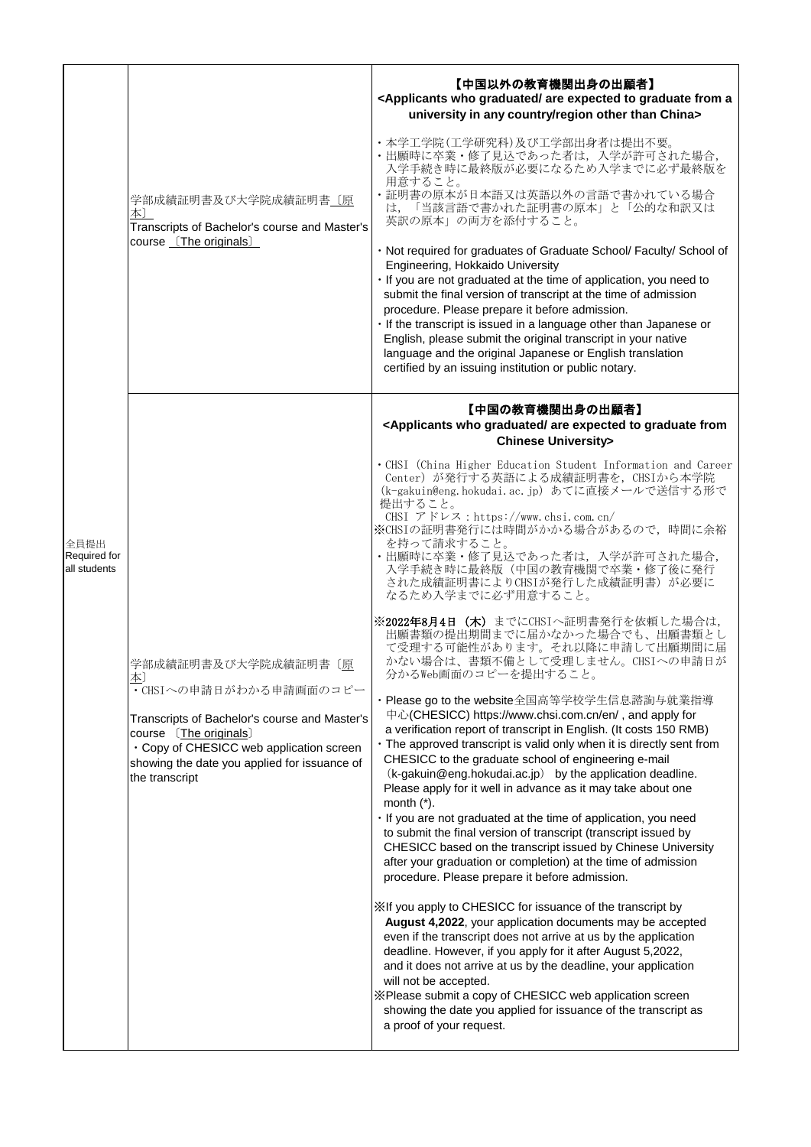| 全員提出<br>Required for<br>all students | 学部成績証明書及び大学院成績証明書〔原<br>本〕<br>Transcripts of Bachelor's course and Master's<br>course [The originals]                                                                                                                                             | 【中国以外の教育機関出身の出願者】<br><applicants a<br="" are="" expected="" from="" graduate="" graduated="" to="" who="">university in any country/region other than China&gt;<br/>・本学工学院(工学研究科)及び工学部出身者は提出不要。<br/>・出願時に卒業・修了見込であった者は、入学が許可された場合,<br/>入学手続き時に最終版が必要になるため入学までに必ず最終版を<br/>用意すること。<br/>・証明書の原本が日本語又は英語以外の言語で書かれている場合<br/>「当該言語で書かれた証明書の原本」と「公的な和訳又は<br/>は.<br/>英訳の原本」の両方を添付すること。<br/>. Not required for graduates of Graduate School/ Faculty/ School of<br/>Engineering, Hokkaido University<br/>· If you are not graduated at the time of application, you need to<br/>submit the final version of transcript at the time of admission<br/>procedure. Please prepare it before admission.<br/>. If the transcript is issued in a language other than Japanese or<br/>English, please submit the original transcript in your native<br/>language and the original Japanese or English translation<br/>certified by an issuing institution or public notary.</applicants>                                                                                                                                                                                                                                                                                                                                                                                                                                                                                                                                                                                                                                                                                                                                                                                                                                                                                                                                                                                                                                                                                             |
|--------------------------------------|--------------------------------------------------------------------------------------------------------------------------------------------------------------------------------------------------------------------------------------------------|---------------------------------------------------------------------------------------------------------------------------------------------------------------------------------------------------------------------------------------------------------------------------------------------------------------------------------------------------------------------------------------------------------------------------------------------------------------------------------------------------------------------------------------------------------------------------------------------------------------------------------------------------------------------------------------------------------------------------------------------------------------------------------------------------------------------------------------------------------------------------------------------------------------------------------------------------------------------------------------------------------------------------------------------------------------------------------------------------------------------------------------------------------------------------------------------------------------------------------------------------------------------------------------------------------------------------------------------------------------------------------------------------------------------------------------------------------------------------------------------------------------------------------------------------------------------------------------------------------------------------------------------------------------------------------------------------------------------------------------------------------------------------------------------------------------------------------------------------------------------------------------------------------------------------------------------------------------------------------------------------------------------------------------------------------------------|
|                                      | 学部成績証明書及び大学院成績証明書<br>「原<br>平」<br>・CHSIへの申請日がわかる申請画面のコピー<br>Transcripts of Bachelor's course and Master's<br>course [The originals]<br>· Copy of CHESICC web application screen<br>showing the date you applied for issuance of<br>the transcript | 【中国の教育機関出身の出願者】<br><applicants are="" expected="" from<br="" graduate="" graduated="" to="" who=""><b>Chinese University&gt;</b><br/>• CHSI (China Higher Education Student Information and Career<br/>Center) が発行する英語による成績証明書を、CHSIから本学院<br/>(k-gakuin@eng.hokudai.ac.jp) あてに直接メールで送信する形で<br/>提出すること。<br/>CHSI アドレス: https://www.chsi.com.cn/<br/>※CHSIの証明書発行には時間がかかる場合があるので、時間に余裕<br/>を持って請求すること。<br/>・出願時に卒業・修了見込であった者は、入学が許可された場合,<br/>入学手続き時に最終版(中国の教育機関で卒業・修了後に発行<br/>された成績証明書によりCHSIが発行した成績証明書)が必要に<br/>なるため入学までに必ず用意すること。<br/>※2022年8月4日 (木) までにCHSIへ証明書発行を依頼した場合は,<br/>出願書類の提出期間までに届かなかった場合でも、出願書類とし<br/>て受理する可能性があります。それ以降に申請して出願期間に届<br/>かない場合は、書類不備として受理しません。CHSIへの申請日が<br/>分かるWeb画面のコピーを提出すること。<br/>· Please go to the website全国高等学校学生信息諮詢与就業指導<br/>中心(CHESICC) https://www.chsi.com.cn/en/, and apply for<br/>a verification report of transcript in English. (It costs 150 RMB)<br/>• The approved transcript is valid only when it is directly sent from<br/>CHESICC to the graduate school of engineering e-mail<br/>(k-gakuin@eng.hokudai.ac.jp) by the application deadline.<br/>Please apply for it well in advance as it may take about one<br/>month <math>(*)</math>.<br/>· If you are not graduated at the time of application, you need<br/>to submit the final version of transcript (transcript issued by<br/>CHESICC based on the transcript issued by Chinese University<br/>after your graduation or completion) at the time of admission<br/>procedure. Please prepare it before admission.<br/>X If you apply to CHESICC for issuance of the transcript by<br/>August 4,2022, your application documents may be accepted<br/>even if the transcript does not arrive at us by the application<br/>deadline. However, if you apply for it after August 5,2022,<br/>and it does not arrive at us by the deadline, your application<br/>will not be accepted.<br/>X Please submit a copy of CHESICC web application screen<br/>showing the date you applied for issuance of the transcript as<br/>a proof of your request.</applicants> |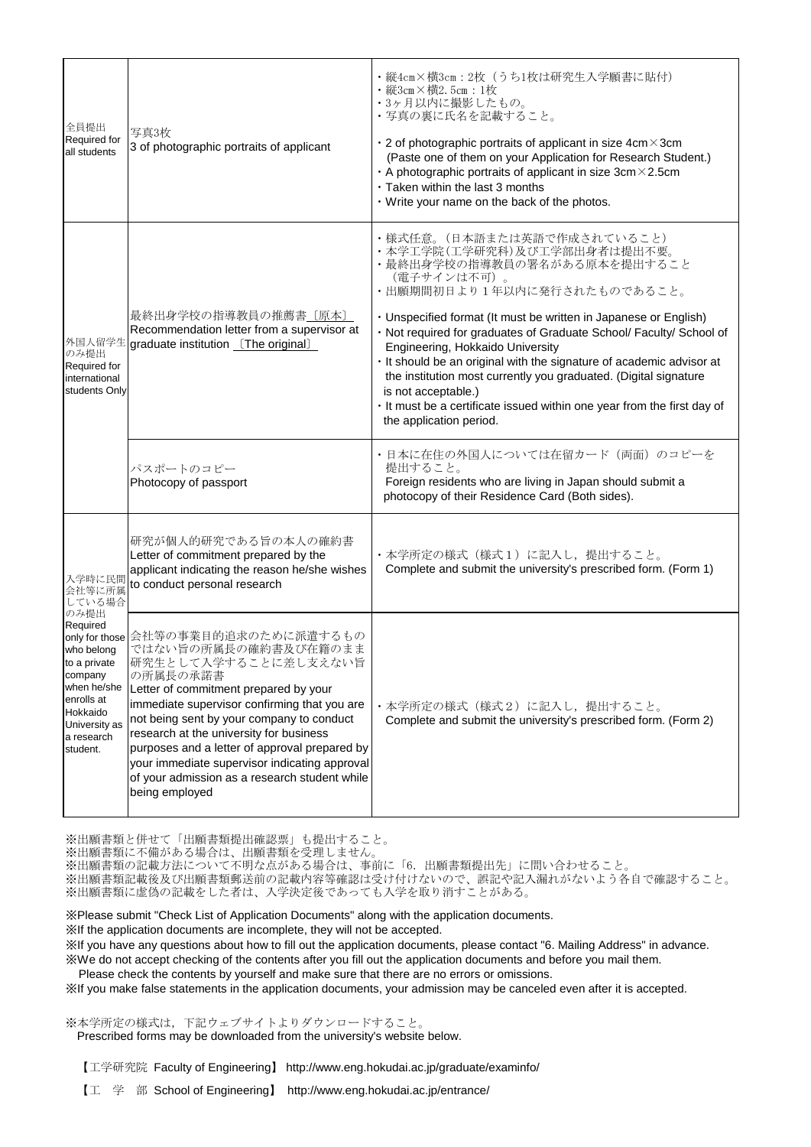| 全員提出<br>Required for<br>all students                                                                                                                                        | 写真3枚<br>3 of photographic portraits of applicant                                                                                                                                                                                                                                                                                                                                                                                                      | ・縦4cm×横3cm:2枚(うち1枚は研究生入学願書に貼付)<br>・縦3cm×横2.5cm:1枚<br>・3ヶ月以内に撮影したもの。<br>・写真の裏に氏名を記載すること。<br>$\cdot$ 2 of photographic portraits of applicant in size 4cm $\times$ 3cm<br>(Paste one of them on your Application for Research Student.)<br>A photographic portraits of applicant in size $3cm \times 2.5cm$<br>. Taken within the last 3 months<br>. Write your name on the back of the photos.                                                                                                                                                                                                  |
|-----------------------------------------------------------------------------------------------------------------------------------------------------------------------------|-------------------------------------------------------------------------------------------------------------------------------------------------------------------------------------------------------------------------------------------------------------------------------------------------------------------------------------------------------------------------------------------------------------------------------------------------------|------------------------------------------------------------------------------------------------------------------------------------------------------------------------------------------------------------------------------------------------------------------------------------------------------------------------------------------------------------------------------------------------------------------------------------------------------------------------------------------------------------------------------------------------------------------------------------------------|
| 外国人留学生<br>のみ提出<br>Required for<br>international<br>students Only                                                                                                            | 最終出身学校の指導教員の推薦書 <u>〔原本〕</u><br>Recommendation letter from a supervisor at<br>graduate institution [The original]                                                                                                                                                                                                                                                                                                                                      | ・様式任意。(日本語または英語で作成されていること)<br>・本学工学院(工学研究科)及び工学部出身者は提出不要。<br>・最終出身学校の指導教員の署名がある原本を提出すること<br>(電子サインは不可)。<br>•出願期間初日より1年以内に発行されたものであること。<br>· Unspecified format (It must be written in Japanese or English)<br>· Not required for graduates of Graduate School/ Faculty/ School of<br>Engineering, Hokkaido University<br>· It should be an original with the signature of academic advisor at<br>the institution most currently you graduated. (Digital signature<br>is not acceptable.)<br>· It must be a certificate issued within one year from the first day of<br>the application period. |
|                                                                                                                                                                             | パスポートのコピー<br>Photocopy of passport                                                                                                                                                                                                                                                                                                                                                                                                                    | •日本に在住の外国人については在留カード (両面)のコピーを<br>提出すること。<br>Foreign residents who are living in Japan should submit a<br>photocopy of their Residence Card (Both sides).                                                                                                                                                                                                                                                                                                                                                                                                                                      |
| ∖学時に民間<br>会社等に所属<br>している場合<br>のみ提出<br>Required<br>who belong<br>to a private<br>company<br>when he/she<br>enrolls at<br>Hokkaido<br>University as<br>a research<br>student. | 研究が個人的研究である旨の本人の確約書<br>Letter of commitment prepared by the<br>applicant indicating the reason he/she wishes<br>to conduct personal research                                                                                                                                                                                                                                                                                                          | ・本学所定の様式(様式1)に記入し,提出すること。<br>Complete and submit the university's prescribed form. (Form 1)                                                                                                                                                                                                                                                                                                                                                                                                                                                                                                    |
|                                                                                                                                                                             | only for those 会社等の事業目的追求のために派遣するもの<br>ではない旨の所属長の確約書及び在籍のまま<br>研究生として入学することに差し支えない旨<br>の所属長の承諾書<br>Letter of commitment prepared by your<br>immediate supervisor confirming that you are<br>not being sent by your company to conduct<br>research at the university for business<br>purposes and a letter of approval prepared by<br>your immediate supervisor indicating approval<br>of your admission as a research student while<br>being employed | ・本学所定の様式(様式2)に記入し、提出すること。<br>Complete and submit the university's prescribed form. (Form 2)                                                                                                                                                                                                                                                                                                                                                                                                                                                                                                    |

※出願書類と併せて「出願書類提出確認票」も提出すること。

※出願書類に不備がある場合は、出願書類を受理しません。

※出願書類の記載方法について不明な点がある場合は、事前に「6.出願書類提出先」に問い合わせること。 ※出願書類記載後及び出願書類郵送前の記載内容等確認は受け付けないので、誤記や記入漏れがないよう各自で確認すること。 ※出願書類に虚偽の記載をした者は、入学決定後であっても入学を取り消すことがある。

※Please submit "Check List of Application Documents" along with the application documents.

※If the application documents are incomplete, they will not be accepted.

※If you have any questions about how to fill out the application documents, please contact "6. Mailing Address" in advance. ※We do not accept checking of the contents after you fill out the application documents and before you mail them.

 Please check the contents by yourself and make sure that there are no errors or omissions. ※If you make false statements in the application documents, your admission may be canceled even after it is accepted.

## ※本学所定の様式は,下記ウェブサイトよりダウンロードすること。

Prescribed forms may be downloaded from the university's website below.

 [【工学研究院](http://www.eng.hokudai.ac.jp/graduate/examinfo/) [Faculty of Engineering](http://www.eng.hokudai.ac.jp/graduate/examinfo/)】 http://www.eng.hokudai.ac.jp/graduate/examinfo/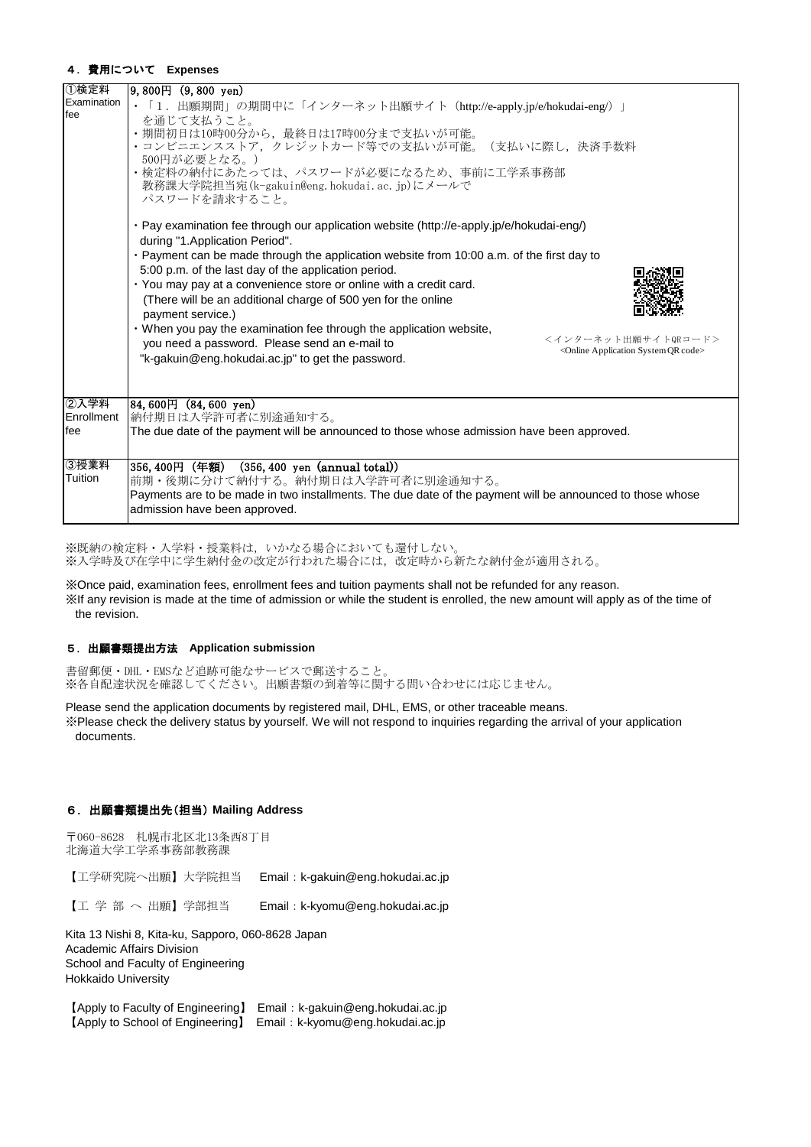## 4.費用について **Expenses**

| ①検定料        | $ 9,800 \text{H} \ (9,800 \ \text{yen})$                                                                       |  |  |
|-------------|----------------------------------------------------------------------------------------------------------------|--|--|
| Examination | · 「1. 出願期間」の期間中に「インターネット出願サイト (http://e-apply.jp/e/hokudai-eng/) 」                                             |  |  |
| fee         | を通じて支払うこと。                                                                                                     |  |  |
|             | ・期間初日は10時00分から、最終日は17時00分まで支払いが可能。                                                                             |  |  |
|             | ・コンビニエンスストア、クレジットカード等での支払いが可能。(支払いに際し、決済手数料                                                                    |  |  |
|             | 500円が必要となる。)                                                                                                   |  |  |
|             | ・検定料の納付にあたっては、パスワードが必要になるため、事前に工学系事務部                                                                          |  |  |
|             | 教務課大学院担当宛 (k-gakuin@eng. hokudai. ac. jp)にメールで                                                                 |  |  |
|             | パスワードを請求すること。                                                                                                  |  |  |
|             |                                                                                                                |  |  |
|             | · Pay examination fee through our application website (http://e-apply.jp/e/hokudai-eng/)                       |  |  |
|             | during "1.Application Period".                                                                                 |  |  |
|             | · Payment can be made through the application website from 10:00 a.m. of the first day to                      |  |  |
|             | 5:00 p.m. of the last day of the application period.                                                           |  |  |
|             | · You may pay at a convenience store or online with a credit card.                                             |  |  |
|             | (There will be an additional charge of 500 yen for the online                                                  |  |  |
|             | payment service.)                                                                                              |  |  |
|             | · When you pay the examination fee through the application website,                                            |  |  |
|             | <インターネット出願サイトORコード><br>you need a password. Please send an e-mail to                                           |  |  |
|             | <online application="" code="" qr="" system=""><br/>"k-gakuin@eng.hokudai.ac.jp" to get the password.</online> |  |  |
|             |                                                                                                                |  |  |
|             |                                                                                                                |  |  |
| ②入学料        | $\left  84,600 \text{H } (84,600 \text{ yen}) \right $                                                         |  |  |
| Enrollment  | 納付期日は入学許可者に別途通知する。                                                                                             |  |  |
| fee         | The due date of the payment will be announced to those whose admission have been approved.                     |  |  |
|             |                                                                                                                |  |  |
| ③授業料        | 356, 400円 (年額) (356, 400 ven (annual total))                                                                   |  |  |
| Tuition     | 前期・後期に分けて納付する。納付期日は入学許可者に別途通知する。                                                                               |  |  |
|             | Payments are to be made in two installments. The due date of the payment will be announced to those whose      |  |  |
|             | admission have been approved.                                                                                  |  |  |
|             |                                                                                                                |  |  |

※既納の検定料・入学料・授業料は,いかなる場合においても還付しない。 ※入学時及び在学中に学生納付金の改定が行われた場合には、改定時から新たな納付金が適用される。

※Once paid, examination fees, enrollment fees and tuition payments shall not be refunded for any reason. ※If any revision is made at the time of admission or while the student is enrolled, the new amount will apply as of the time of the revision.

## 5.出願書類提出方法 **Application submission**

書留郵便・DHL・EMSなど追跡可能なサービスで郵送すること。 ※各自配達状況を確認してください。出願書類の到着等に関する問い合わせには応じません。

Please send the application documents by registered mail, DHL, EMS, or other traceable means. ※Please check the delivery status by yourself. We will not respond to inquiries regarding the arrival of your application documents.

### 6.出願書類提出先(担当) **Mailing Address**

〒060-8628 札幌市北区北13条西8丁目 北海道大学工学系事務部教務課

【工学研究院へ出願】大学院担当 Email:k-gakuin@eng.hokudai.ac.jp

【工 学 部 へ 出願】学部担当 Email:k-kyomu@eng.hokudai.ac.jp

Kita 13 Nishi 8, Kita-ku, Sapporo, 060-8628 Japan Academic Affairs Division School and Faculty of Engineering Hokkaido University

【Apply to Faculty of Engineering】 Email:k-gakuin@eng.hokudai.ac.jp 【Apply to School of Engineering】 Email:k-kyomu@eng.hokudai.ac.jp